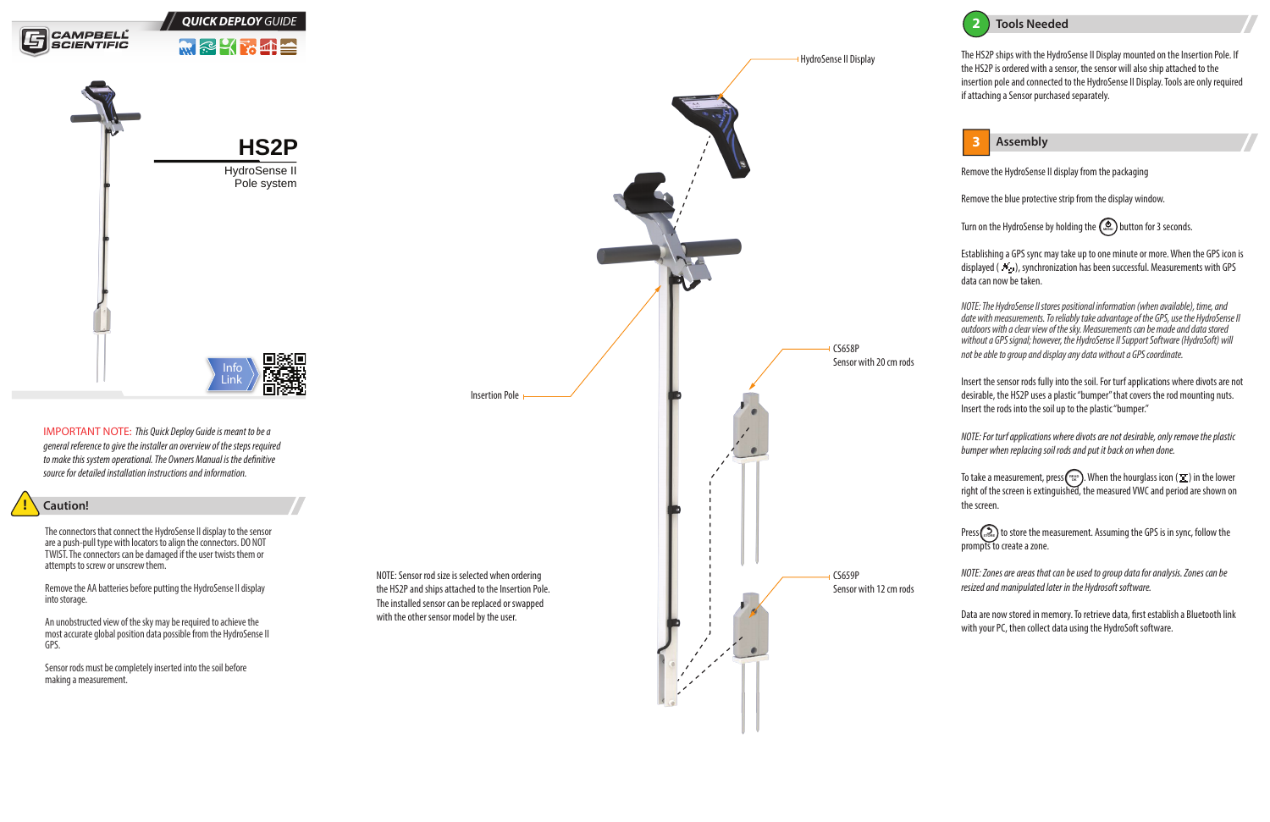



# **! Caution!**

The connectors that connect the HydroSense II display to the sensor are a push-pull type with locators to align the connectors. DO NOT TWIST. The connectors can be damaged if the user twists them or attempts to screw or unscrew them.

Remove the AA batteries before putting the HydroSense II display into storage.

An unobstructed view of the sky may be required to achieve the most accurate global position data possible from the HydroSense II GPS.



Sensor rods must be completely inserted into the soil before making a measurement.

IMPORTANT NOTE: *This Quick Deploy Guide is meant to be a general reference to give the installer an overview of the steps required to make this system operational. The Owners Manual is the denitive source for detailed installation instructions and information.*

Remove the HydroSense II display from the packaging

Remove the blue protective strip from the display window.

Turn on the HydroSense by holding the  $\binom{\infty}{\text{mean}}$  button for 3 seconds.

To take a measurement, press ( $\frac{e_{E\wedge 0}}{e_{\wedge \wedge}}$ ). When the hourglass icon ( $\Xi$ ) in the lower right of the screen is extinguished, the measured VWC and period are shown on the screen.

Press (sroke) to store the measurement. Assuming the GPS is in sync, follow the prompts to create a zone.

Establishing a GPS sync may take up to one minute or more. When the GPS icon is displayed ( $\rightarrow$ ), synchronization has been successful. Measurements with GPS data can now be taken.

Data are now stored in memory. To retrieve data, first establish a Bluetooth link with your PC, then collect data using the HydroSoft software.

*NOTE: The HydroSense II stores positional information (when available), time, and date with measurements. To reliably take advantage of the GPS, use the HydroSense II outdoors with a clear view of the sky. Measurements can be made and data stored without a GPS signal; however, the HydroSense II Support Software (HydroSoft) will not be able to group and display any data without a GPS coordinate.*

Insert the sensor rods fully into the soil. For turf applications where divots are not desirable, the HS2P uses a plastic "bumper" that covers the rod mounting nuts. Insert the rods into the soil up to the plastic "bumper."

*NOTE: For turf applications where divots are not desirable, only remove the plastic bumper when replacing soil rods and put it back on when done.* 

*NOTE: Zones are areas that can be used to group data for analysis. Zones can be resized and manipulated later in the Hydrosoft software.*

The HS2P ships with the HydroSense II Display mounted on the Insertion Pole. If the HS2P is ordered with a sensor, the sensor will also ship attached to the insertion pole and connected to the HydroSense II Display. Tools are only required if attaching a Sensor purchased separately.



NOTE: Sensor rod size is selected when ordering the HS2P and ships attached to the Insertion Pole. The installed sensor can be replaced or swapped with the other sensor model by the user.